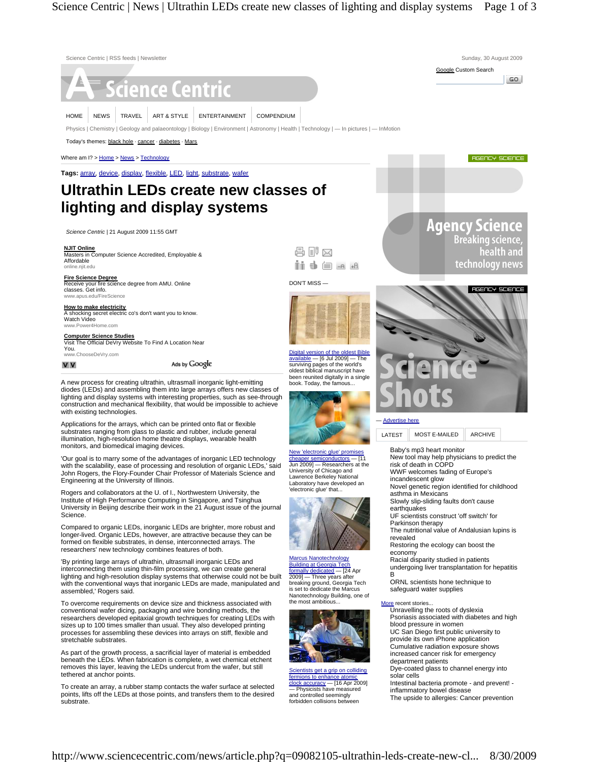

To create an array, a rubber stamp contacts the wafer surface at selected points, lifts off the LEDs at those points, and transfers them to the desired substrate.

inflammatory bowel disease The upside to allergies: Cancer prevention — Physicists have measured and controlled seemingly forbidden collisions between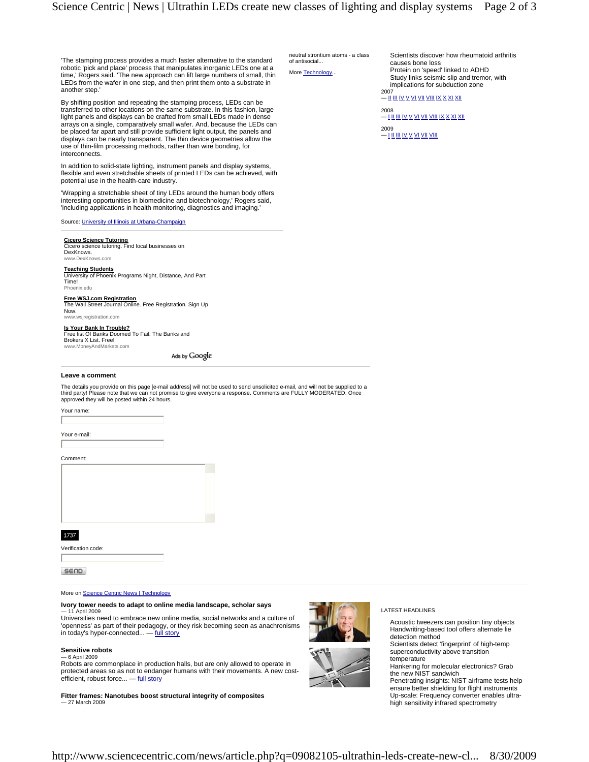of antisocial... More Technology

neutral strontium atoms - a class

'The stamping process provides a much faster alternative to the standard robotic 'pick and place' process that manipulates inorganic LEDs one at a time,' Rogers said. 'The new approach can lift large numbers of small, thin LEDs from the wafer in one step, and then print them onto a substrate in another step.'

By shifting position and repeating the stamping process, LEDs can be transferred to other locations on the same substrate. In this fashion, large light panels and displays can be crafted from small LEDs made in dense arrays on a single, comparatively small wafer. And, because the LEDs can be placed far apart and still provide sufficient light output, the panels and displays can be nearly transparent. The thin device geometries allow the use of thin-film processing methods, rather than wire bonding, for interconnects.

In addition to solid-state lighting, instrument panels and display systems, flexible and even stretchable sheets of printed LEDs can be achieved, with potential use in the health-care industry.

'Wrapping a stretchable sheet of tiny LEDs around the human body offers interesting opportunities in biomedicine and biotechnology,' Rogers said, 'including applications in health monitoring, diagnostics and imaging.'

Source: University of Illinois at Urbana-Champaign

# **Cicero Science Tutoring** Cicero science tutoring. Find local businesses on

DexKnows.

www.DexKnows.com

**Teaching Students** University of Phoenix Programs Night, Distance, And Part Time! Phoenix.edu

**Free WSJ.com Registration** The Wall Street Journal Online. Free Registration. Sign Up Now.

www.wsjregistration.com

www.MoneyAndMarkets.com

**Is Your Bank In Trouble?** Free list Of Banks Doomed To Fail. The Banks and Brokers X List. Free!

Ads by Google

#### **Leave a comment**

The details you provide on this page [e-mail address] will not be used to send unsolicited e-mail, and will not be supplied to a third party! Please note that we can not promise to give everyone a response. Comments are FULLY MODERATED. Once approved they will be posted within 24 hours.

Your name:

Your e-mail:

### Comment:

1737

Verification code:

**SEND** 

### More on Science Centric News | Technology

## **Ivory tower needs to adapt to online media landscape, scholar says**

— 11 April 2009 Universities need to embrace new online media, social networks and a culture of 'openness' as part of their pedagogy, or they risk becoming seen as anachronisms in today's hyper-connected... — full story

# **Sensitive robots**

— 6 April 2009 Robots are commonplace in production halls, but are only allowed to operate in protected areas so as not to endanger humans with their movements. A new costefficient, robust force... — full story

**Fitter frames: Nanotubes boost structural integrity of composites** — 27 March 2009

LATEST HEADLINES

Acoustic tweezers can position tiny objects Handwriting-based tool offers alternate lie detection method

Scientists detect 'fingerprint' of high-temp superconductivity above transition temperature

Hankering for molecular electronics? Grab the new NIST sandwich

Penetrating insights: NIST airframe tests help ensure better shielding for flight instruments Up-scale: Frequency converter enables ultrahigh sensitivity infrared spectrometry

Scientists discover how rheumatoid arthritis causes bone loss Protein on 'speed' linked to ADHD Study links seismic slip and tremor, with implications for subduction zone 2007

— II III IV V VI VII VIII IX X XI XII

2008 — I II III IV V VI VII VIII IX X XI XII 2009

— <u>I II III IV V VI VII VIII</u>